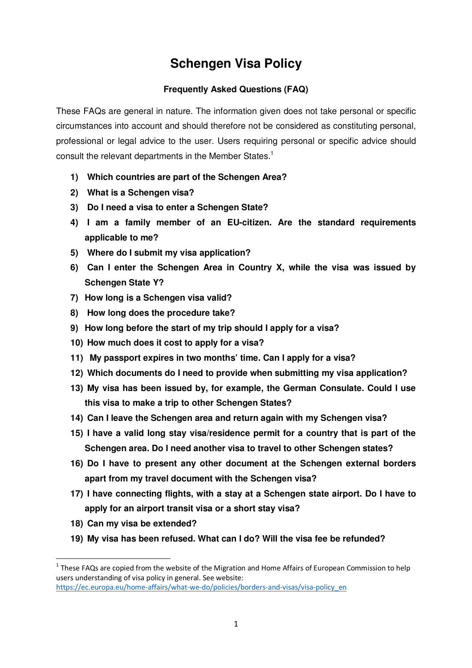# **Schengen Visa Policy**

## **Frequently Asked Questions (FAQ)**

These FAQs are general in nature. The information given does not take personal or specific circumstances into account and should therefore not be considered as constituting personal, professional or legal advice to the user. Users requiring personal or specific advice should consult the relevant departments in the Member States.<sup>1</sup>

- **1) Which countries are part of the Schengen Area?**
- **2) What is a Schengen visa?**
- **3) Do I need a visa to enter a Schengen State?**
- **4) I am a family member of an EU-citizen. Are the standard requirements applicable to me?**
- **5) Where do I submit my visa application?**
- **6) Can I enter the Schengen Area in Country X, while the visa was issued by Schengen State Y?**
- **7) How long is a Schengen visa valid?**
- **8) How long does the procedure take?**
- **9) How long before the start of my trip should I apply for a visa?**
- **10) How much does it cost to apply for a visa?**
- **11) My passport expires in two months' time. Can I apply for a visa?**
- **12) Which documents do I need to provide when submitting my visa application?**
- **13) My visa has been issued by, for example, the German Consulate. Could I use this visa to make a trip to other Schengen States?**
- **14) Can I leave the Schengen area and return again with my Schengen visa?**
- **15) I have a valid long stay visa/residence permit for a country that is part of the Schengen area. Do I need another visa to travel to other Schengen states?**
- **16) Do I have to present any other document at the Schengen external borders apart from my travel document with the Schengen visa?**
- **17) I have connecting flights, with a stay at a Schengen state airport. Do I have to apply for an airport transit visa or a short stay visa?**
- **18) Can my visa be extended?**

l

**19) My visa has been refused. What can I do? Will the visa fee be refunded?** 

<sup>&</sup>lt;sup>1</sup> These FAQs are copied from the website of the Migration and Home Affairs of European Commission to help users understanding of visa policy in general. See website: https://ec.europa.eu/home-affairs/what-we-do/policies/borders-and-visas/visa-policy\_en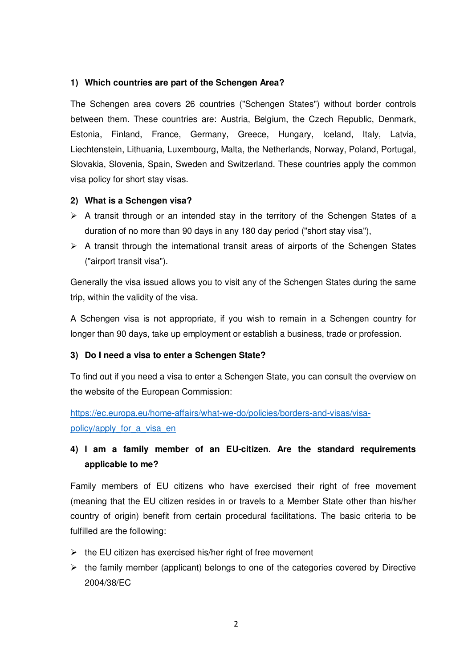#### **1) Which countries are part of the Schengen Area?**

The Schengen area covers 26 countries ("Schengen States") without border controls between them. These countries are: Austria, Belgium, the Czech Republic, Denmark, Estonia, Finland, France, Germany, Greece, Hungary, Iceland, Italy, Latvia, Liechtenstein, Lithuania, Luxembourg, Malta, the Netherlands, Norway, Poland, Portugal, Slovakia, Slovenia, Spain, Sweden and Switzerland. These countries apply the common visa policy for short stay visas.

#### **2) What is a Schengen visa?**

- $\triangleright$  A transit through or an intended stay in the territory of the Schengen States of a duration of no more than 90 days in any 180 day period ("short stay visa"),
- $\triangleright$  A transit through the international transit areas of airports of the Schengen States ("airport transit visa").

Generally the visa issued allows you to visit any of the Schengen States during the same trip, within the validity of the visa.

A Schengen visa is not appropriate, if you wish to remain in a Schengen country for longer than 90 days, take up employment or establish a business, trade or profession.

### **3) Do I need a visa to enter a Schengen State?**

To find out if you need a visa to enter a Schengen State, you can consult the overview on the website of the European Commission:

https://ec.europa.eu/home-affairs/what-we-do/policies/borders-and-visas/visapolicy/apply for a visa en

# **4) I am a family member of an EU-citizen. Are the standard requirements applicable to me?**

Family members of EU citizens who have exercised their right of free movement (meaning that the EU citizen resides in or travels to a Member State other than his/her country of origin) benefit from certain procedural facilitations. The basic criteria to be fulfilled are the following:

- $\triangleright$  the EU citizen has exercised his/her right of free movement
- $\triangleright$  the family member (applicant) belongs to one of the categories covered by Directive 2004/38/EC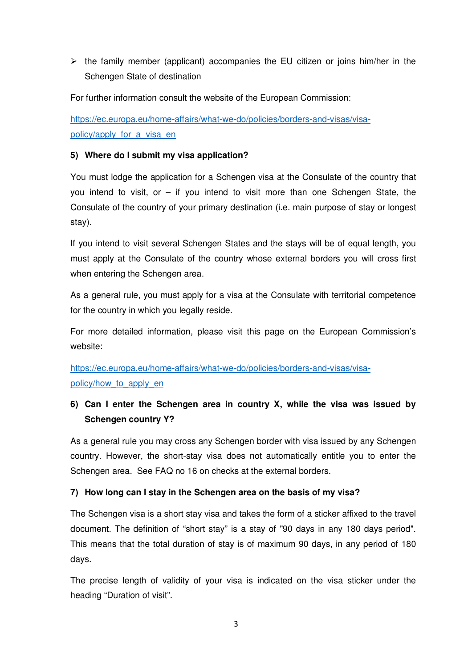$\triangleright$  the family member (applicant) accompanies the EU citizen or joins him/her in the Schengen State of destination

For further information consult the website of the European Commission:

https://ec.europa.eu/home-affairs/what-we-do/policies/borders-and-visas/visapolicy/apply for a visa en

#### **5) Where do I submit my visa application?**

You must lodge the application for a Schengen visa at the Consulate of the country that you intend to visit, or – if you intend to visit more than one Schengen State, the Consulate of the country of your primary destination (i.e. main purpose of stay or longest stay).

If you intend to visit several Schengen States and the stays will be of equal length, you must apply at the Consulate of the country whose external borders you will cross first when entering the Schengen area.

As a general rule, you must apply for a visa at the Consulate with territorial competence for the country in which you legally reside.

For more detailed information, please visit this page on the European Commission's website:

https://ec.europa.eu/home-affairs/what-we-do/policies/borders-and-visas/visapolicy/how to apply en

# **6) Can I enter the Schengen area in country X, while the visa was issued by Schengen country Y?**

As a general rule you may cross any Schengen border with visa issued by any Schengen country. However, the short-stay visa does not automatically entitle you to enter the Schengen area. See FAQ no 16 on checks at the external borders.

### **7) How long can I stay in the Schengen area on the basis of my visa?**

The Schengen visa is a short stay visa and takes the form of a sticker affixed to the travel document. The definition of "short stay" is a stay of "90 days in any 180 days period". This means that the total duration of stay is of maximum 90 days, in any period of 180 days.

The precise length of validity of your visa is indicated on the visa sticker under the heading "Duration of visit".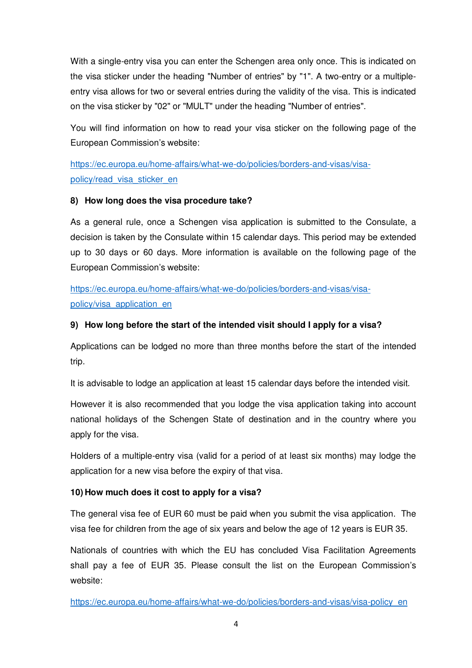With a single-entry visa you can enter the Schengen area only once. This is indicated on the visa sticker under the heading "Number of entries" by "1". A two-entry or a multipleentry visa allows for two or several entries during the validity of the visa. This is indicated on the visa sticker by "02" or "MULT" under the heading "Number of entries".

You will find information on how to read your visa sticker on the following page of the European Commission's website:

https://ec.europa.eu/home-affairs/what-we-do/policies/borders-and-visas/visapolicy/read\_visa\_sticker\_en

### **8) How long does the visa procedure take?**

As a general rule, once a Schengen visa application is submitted to the Consulate, a decision is taken by the Consulate within 15 calendar days. This period may be extended up to 30 days or 60 days. More information is available on the following page of the European Commission's website:

https://ec.europa.eu/home-affairs/what-we-do/policies/borders-and-visas/visapolicy/visa\_application\_en

### **9) How long before the start of the intended visit should I apply for a visa?**

Applications can be lodged no more than three months before the start of the intended trip.

It is advisable to lodge an application at least 15 calendar days before the intended visit.

However it is also recommended that you lodge the visa application taking into account national holidays of the Schengen State of destination and in the country where you apply for the visa.

Holders of a multiple-entry visa (valid for a period of at least six months) may lodge the application for a new visa before the expiry of that visa.

### **10) How much does it cost to apply for a visa?**

The general visa fee of EUR 60 must be paid when you submit the visa application. The visa fee for children from the age of six years and below the age of 12 years is EUR 35.

Nationals of countries with which the EU has concluded Visa Facilitation Agreements shall pay a fee of EUR 35. Please consult the list on the European Commission's website:

https://ec.europa.eu/home-affairs/what-we-do/policies/borders-and-visas/visa-policy\_en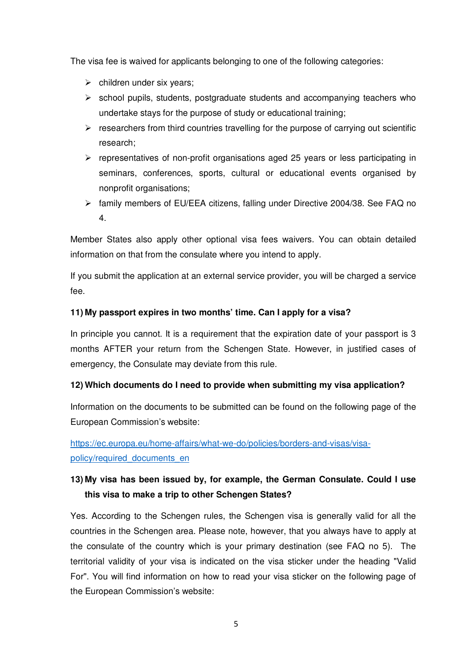The visa fee is waived for applicants belonging to one of the following categories:

- $\triangleright$  children under six years;
- $\triangleright$  school pupils, students, postgraduate students and accompanying teachers who undertake stays for the purpose of study or educational training;
- $\triangleright$  researchers from third countries travelling for the purpose of carrying out scientific research;
- $\triangleright$  representatives of non-profit organisations aged 25 years or less participating in seminars, conferences, sports, cultural or educational events organised by nonprofit organisations;
- family members of EU/EEA citizens, falling under Directive 2004/38. See FAQ no 4.

Member States also apply other optional visa fees waivers. You can obtain detailed information on that from the consulate where you intend to apply.

If you submit the application at an external service provider, you will be charged a service fee.

### **11) My passport expires in two months' time. Can I apply for a visa?**

In principle you cannot. It is a requirement that the expiration date of your passport is 3 months AFTER your return from the Schengen State. However, in justified cases of emergency, the Consulate may deviate from this rule.

### **12) Which documents do I need to provide when submitting my visa application?**

Information on the documents to be submitted can be found on the following page of the European Commission's website:

https://ec.europa.eu/home-affairs/what-we-do/policies/borders-and-visas/visapolicy/required\_documents\_en

# **13) My visa has been issued by, for example, the German Consulate. Could I use this visa to make a trip to other Schengen States?**

Yes. According to the Schengen rules, the Schengen visa is generally valid for all the countries in the Schengen area. Please note, however, that you always have to apply at the consulate of the country which is your primary destination (see FAQ no 5). The territorial validity of your visa is indicated on the visa sticker under the heading "Valid For". You will find information on how to read your visa sticker on the following page of the European Commission's website: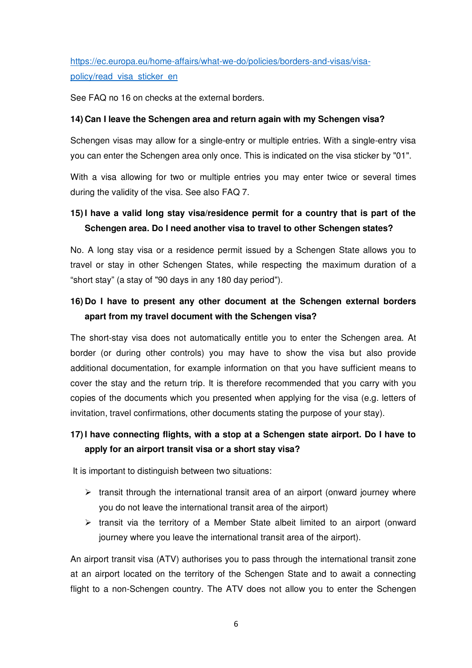https://ec.europa.eu/home-affairs/what-we-do/policies/borders-and-visas/visapolicy/read\_visa\_sticker\_en

See FAQ no 16 on checks at the external borders.

#### **14) Can I leave the Schengen area and return again with my Schengen visa?**

Schengen visas may allow for a single-entry or multiple entries. With a single-entry visa you can enter the Schengen area only once. This is indicated on the visa sticker by "01".

With a visa allowing for two or multiple entries you may enter twice or several times during the validity of the visa. See also FAQ 7.

# **15) I have a valid long stay visa/residence permit for a country that is part of the Schengen area. Do I need another visa to travel to other Schengen states?**

No. A long stay visa or a residence permit issued by a Schengen State allows you to travel or stay in other Schengen States, while respecting the maximum duration of a "short stay" (a stay of "90 days in any 180 day period").

# **16) Do I have to present any other document at the Schengen external borders apart from my travel document with the Schengen visa?**

The short-stay visa does not automatically entitle you to enter the Schengen area. At border (or during other controls) you may have to show the visa but also provide additional documentation, for example information on that you have sufficient means to cover the stay and the return trip. It is therefore recommended that you carry with you copies of the documents which you presented when applying for the visa (e.g. letters of invitation, travel confirmations, other documents stating the purpose of your stay).

# **17) I have connecting flights, with a stop at a Schengen state airport. Do I have to apply for an airport transit visa or a short stay visa?**

It is important to distinguish between two situations:

- $\triangleright$  transit through the international transit area of an airport (onward journey where you do not leave the international transit area of the airport)
- $\triangleright$  transit via the territory of a Member State albeit limited to an airport (onward journey where you leave the international transit area of the airport).

An airport transit visa (ATV) authorises you to pass through the international transit zone at an airport located on the territory of the Schengen State and to await a connecting flight to a non-Schengen country. The ATV does not allow you to enter the Schengen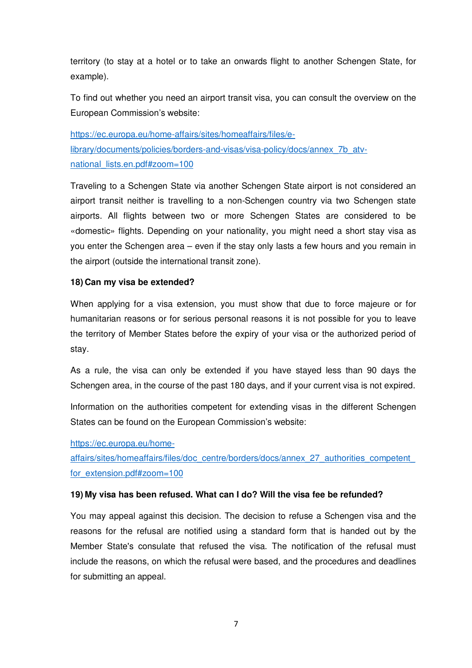territory (to stay at a hotel or to take an onwards flight to another Schengen State, for example).

To find out whether you need an airport transit visa, you can consult the overview on the European Commission's website:

https://ec.europa.eu/home-affairs/sites/homeaffairs/files/elibrary/documents/policies/borders-and-visas/visa-policy/docs/annex\_7b\_atvnational\_lists.en.pdf#zoom=100

Traveling to a Schengen State via another Schengen State airport is not considered an airport transit neither is travelling to a non-Schengen country via two Schengen state airports. All flights between two or more Schengen States are considered to be «domestic» flights. Depending on your nationality, you might need a short stay visa as you enter the Schengen area – even if the stay only lasts a few hours and you remain in the airport (outside the international transit zone).

#### **18) Can my visa be extended?**

When applying for a visa extension, you must show that due to force majeure or for humanitarian reasons or for serious personal reasons it is not possible for you to leave the territory of Member States before the expiry of your visa or the authorized period of stay.

As a rule, the visa can only be extended if you have stayed less than 90 days the Schengen area, in the course of the past 180 days, and if your current visa is not expired.

Information on the authorities competent for extending visas in the different Schengen States can be found on the European Commission's website:

#### https://ec.europa.eu/home-

affairs/sites/homeaffairs/files/doc\_centre/borders/docs/annex\_27\_authorities\_competent\_ for\_extension.pdf#zoom=100

#### **19) My visa has been refused. What can I do? Will the visa fee be refunded?**

You may appeal against this decision. The decision to refuse a Schengen visa and the reasons for the refusal are notified using a standard form that is handed out by the Member State's consulate that refused the visa. The notification of the refusal must include the reasons, on which the refusal were based, and the procedures and deadlines for submitting an appeal.